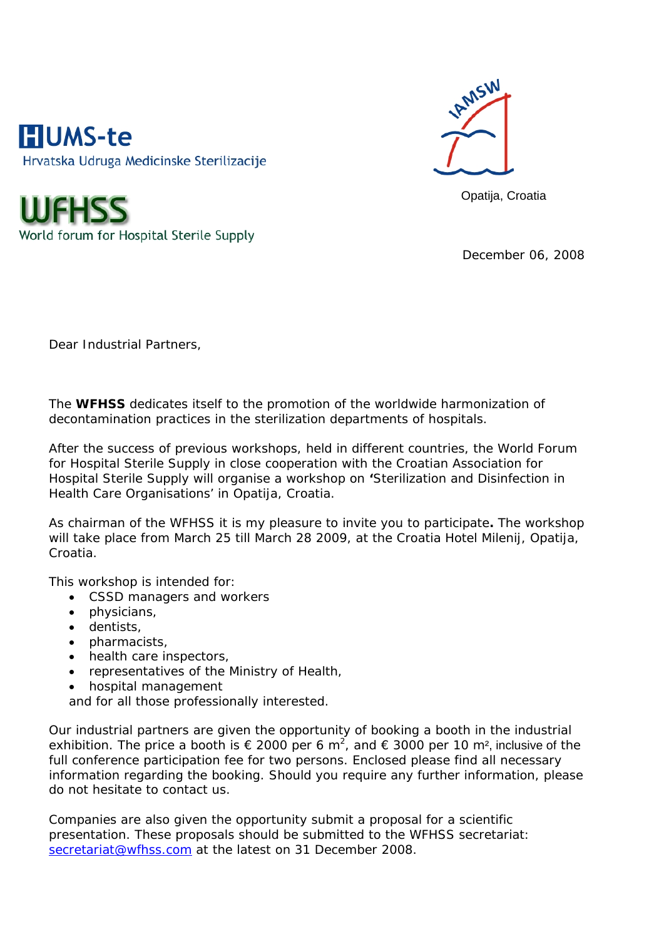



Opatija, Croatia

World forum for Hospital Sterile Supply

December 06, 2008

Dear Industrial Partners,

The **WFHSS** dedicates itself to the promotion of the worldwide harmonization of decontamination practices in the sterilization departments of hospitals.

After the success of previous workshops, held in different countries, the World Forum for Hospital Sterile Supply in close cooperation with the Croatian Association for Hospital Sterile Supply will organise a workshop on **'**Sterilization and Disinfection in Health Care Organisations' in Opatija, Croatia.

As chairman of the WFHSS it is my pleasure to invite you to participate**.** The workshop will take place from March 25 till March 28 2009, at the Croatia Hotel Milenij, Opatija, Croatia.

This workshop is intended for:

- CSSD managers and workers
- physicians,
- dentists,
- pharmacists,
- health care inspectors,
- representatives of the Ministry of Health,
- hospital management

and for all those professionally interested.

Our industrial partners are given the opportunity of booking a booth in the industrial exhibition. The price a booth is  $\epsilon$  2000 per 6 m<sup>2</sup>, and  $\epsilon$  3000 per 10 m<sup>2</sup>, inclusive of the full conference participation fee for two persons. Enclosed please find all necessary information regarding the booking. Should you require any further information, please do not hesitate to contact us.

Companies are also given the opportunity submit a proposal for a scientific presentation. These proposals should be submitted to the WFHSS secretariat: secretariat@wfhss.com at the latest on 31 December 2008.